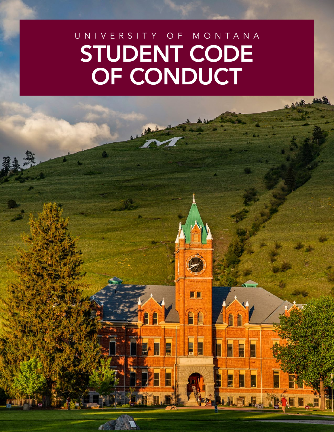# UNIVERSITY OF MONTANA STUDENT CODE OF CONDUCT

E

G H

E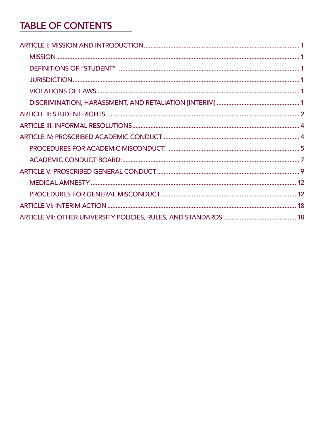# **TABLE OF CONTENTS**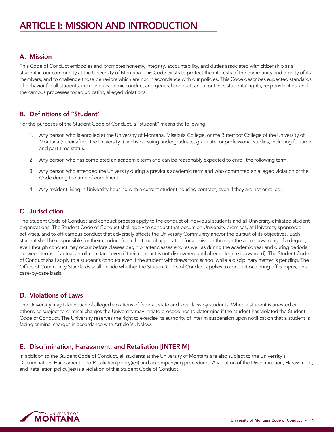# <span id="page-2-0"></span>A. Mission

This Code of Conduct embodies and promotes honesty, integrity, accountability, and duties associated with citizenship as a student in our community at the University of Montana. This Code exists to protect the interests of the community and dignity of its members, and to challenge those behaviors which are not in accordance with our policies. This Code describes expected standards of behavior for all students, including academic conduct and general conduct, and it outlines students' rights, responsibilities, and the campus processes for adjudicating alleged violations.

# B. Definitions of "Student"

For the purposes of the Student Code of Conduct, a "student" means the following:

- 1. Any person who is enrolled at the University of Montana, Missoula College, or the Bitterroot College of the University of Montana (hereinafter "the University") and is pursuing undergraduate, graduate, or professional studies, including full-time and part-time status.
- 2. Any person who has completed an academic term and can be reasonably expected to enroll the following term.
- 3. Any person who attended the University during a previous academic term and who committed an alleged violation of the Code during the time of enrollment.
- 4. Any resident living in University housing with a current student housing contract, even if they are not enrolled.

# C. Jurisdiction

The Student Code of Conduct and conduct process apply to the conduct of individual students and all University-affiliated student organizations. The Student Code of Conduct shall apply to conduct that occurs on University premises, at University sponsored activities, and to off-campus conduct that adversely affects the University Community and/or the pursuit of its objectives. Each student shall be responsible for their conduct from the time of application for admission through the actual awarding of a degree, even though conduct may occur before classes begin or after classes end, as well as during the academic year and during periods between terms of actual enrollment (and even if their conduct is not discovered until after a degree is awarded). The Student Code of Conduct shall apply to a student's conduct even if the student withdraws from school while a disciplinary matter is pending. The Office of Community Standards shall decide whether the Student Code of Conduct applies to conduct occurring off campus, on a case-by-case basis.

# D. Violations of Laws

The University may take notice of alleged violations of federal, state and local laws by students. When a student is arrested or otherwise subject to criminal charges the University may initiate proceedings to determine if the student has violated the Student Code of Conduct. The University reserves the right to exercise its authority of interim suspension upon notification that a student is facing criminal charges in accordance with Article VI, below.

# E. Discrimination, Harassment, and Retaliation [INTERIM]

In addition to the Student Code of Conduct, all students at the University of Montana are also subject to the University's Discrimination, Harassment, and Retaliation policy(ies) and accompanying procedures. A violation of the Discrimination, Harassment, and Retaliation policy(ies) is a violation of this Student Code of Conduct.

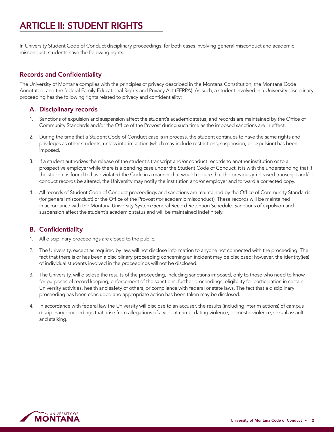# <span id="page-3-0"></span>ARTICLE II: STUDENT RIGHTS

In University Student Code of Conduct disciplinary proceedings, for both cases involving general misconduct and academic misconduct, students have the following rights.

# Records and Confidentiality

The University of Montana complies with the principles of privacy described in the Montana Constitution, the Montana Code Annotated, and the federal Family Educational Rights and Privacy Act (FERPA). As such, a student involved in a University disciplinary proceeding has the following rights related to privacy and confidentiality:

# A. Disciplinary records

- 1. Sanctions of expulsion and suspension affect the student's academic status, and records are maintained by the Office of Community Standards and/or the Office of the Provost during such time as the imposed sanctions are in effect.
- 2. During the time that a Student Code of Conduct case is in process, the student continues to have the same rights and privileges as other students, unless interim action (which may include restrictions, suspension, or expulsion) has been imposed.
- 3. If a student authorizes the release of the student's transcript and/or conduct records to another institution or to a prospective employer while there is a pending case under the Student Code of Conduct, it is with the understanding that if the student is found to have violated the Code in a manner that would require that the previously-released transcript and/or conduct records be altered, the University may notify the institution and/or employer and forward a corrected copy.
- 4. All records of Student Code of Conduct proceedings and sanctions are maintained by the Office of Community Standards (for general misconduct) or the Office of the Provost (for academic misconduct). These records will be maintained in accordance with the Montana University System General Record Retention Schedule. Sanctions of expulsion and suspension affect the student's academic status and will be maintained indefinitely.

# B. Confidentiality

- 1. All disciplinary proceedings are closed to the public.
- 2. The University, except as required by law, will not disclose information to anyone not connected with the proceeding. The fact that there is or has been a disciplinary proceeding concerning an incident may be disclosed; however, the identity(ies) of individual students involved in the proceedings will not be disclosed.
- 3. The University, will disclose the results of the proceeding, including sanctions imposed, only to those who need to know for purposes of record keeping, enforcement of the sanctions, further proceedings, eligibility for participation in certain University activities, health and safety of others, or compliance with federal or state laws. The fact that a disciplinary proceeding has been concluded and appropriate action has been taken may be disclosed.
- 4. In accordance with federal law the University will disclose to an accuser, the results (including interim actions) of campus disciplinary proceedings that arise from allegations of a violent crime, dating violence, domestic violence, sexual assault, and stalking.

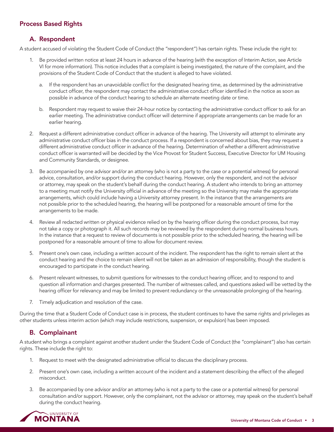# Process Based Rights

# A. Respondent

A student accused of violating the Student Code of Conduct (the "respondent") has certain rights. These include the right to:

- 1. Be provided written notice at least 24 hours in advance of the hearing (with the exception of Interim Action, see Article VI for more information). This notice includes that a complaint is being investigated, the nature of the complaint, and the provisions of the Student Code of Conduct that the student is alleged to have violated.
	- If the respondent has an unavoidable conflict for the designated hearing time, as determined by the administrative conduct officer, the respondent may contact the administrative conduct officer identified in the notice as soon as possible in advance of the conduct hearing to schedule an alternate meeting date or time.
	- b. Respondent may request to waive their 24-hour notice by contacting the administrative conduct officer to ask for an earlier meeting. The administrative conduct officer will determine if appropriate arrangements can be made for an earlier hearing.
- 2. Request a different administrative conduct officer in advance of the hearing. The University will attempt to eliminate any administrative conduct officer bias in the conduct process. If a respondent is concerned about bias, they may request a different administrative conduct officer in advance of the hearing. Determination of whether a different administrative conduct officer is warranted will be decided by the Vice Provost for Student Success, Executive Director for UM Housing and Community Standards, or designee.
- 3. Be accompanied by one advisor and/or an attorney (who is not a party to the case or a potential witness) for personal advice, consultation, and/or support during the conduct hearing. However, only the respondent, and not the advisor or attorney, may speak on the student's behalf during the conduct hearing. A student who intends to bring an attorney to a meeting must notify the University official in advance of the meeting so the University may make the appropriate arrangements, which could include having a University attorney present. In the instance that the arrangements are not possible prior to the scheduled hearing, the hearing will be postponed for a reasonable amount of time for the arrangements to be made.
- 4. Review all redacted written or physical evidence relied on by the hearing officer during the conduct process, but may not take a copy or photograph it. All such records may be reviewed by the respondent during normal business hours. In the instance that a request to review of documents is not possible prior to the scheduled hearing, the hearing will be postponed for a reasonable amount of time to allow for document review.
- 5. Present one's own case, including a written account of the incident. The respondent has the right to remain silent at the conduct hearing and the choice to remain silent will not be taken as an admission of responsibility, though the student is encouraged to participate in the conduct hearing.
- 6. Present relevant witnesses, to submit questions for witnesses to the conduct hearing officer, and to respond to and question all information and charges presented. The number of witnesses called, and questions asked will be vetted by the hearing officer for relevancy and may be limited to prevent redundancy or the unreasonable prolonging of the hearing.
- 7. Timely adjudication and resolution of the case.

During the time that a Student Code of Conduct case is in process, the student continues to have the same rights and privileges as other students unless interim action (which may include restrictions, suspension, or expulsion) has been imposed.

# B. Complainant

A student who brings a complaint against another student under the Student Code of Conduct (the "complainant") also has certain rights. These include the right to:

- 1. Request to meet with the designated administrative official to discuss the disciplinary process.
- 2. Present one's own case, including a written account of the incident and a statement describing the effect of the alleged misconduct.
- 3. Be accompanied by one advisor and/or an attorney (who is not a party to the case or a potential witness) for personal consultation and/or support. However, only the complainant, not the advisor or attorney, may speak on the student's behalf during the conduct hearing.

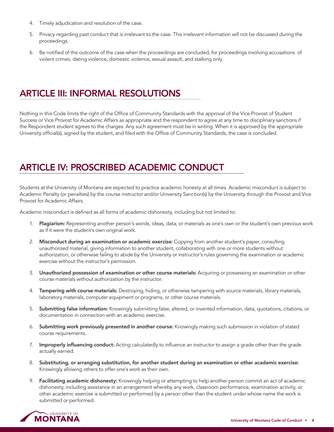- <span id="page-5-0"></span>4. Timely adjudication and resolution of the case.
- 5. Privacy regarding past conduct that is irrelevant to the case. This irrelevant information will not be discussed during the proceedings.
- 6. Be notified of the outcome of the case when the proceedings are concluded, for proceedings involving accusations of violent crimes, dating violence, domestic violence, sexual assault, and stalking only.

# ARTICLE III: INFORMAL RESOLUTIONS

Nothing in this Code limits the right of the Office of Community Standards with the approval of the Vice Provost of Student Success or Vice Provost for Academic Affairs as appropriate and the respondent to agree at any time to disciplinary sanctions if the Respondent student agrees to the charges. Any such agreement must be in writing. When it is approved by the appropriate University official(s), signed by the student, and filed with the Office of Community Standards, the case is concluded.

# ARTICLE IV: PROSCRIBED ACADEMIC CONDUCT

Students at the University of Montana are expected to practice academic honesty at all times. Academic misconduct is subject to Academic Penalty (or penalties) by the course instructor and/or University Sanction(s) by the University through the Provost and Vice Provost for Academic Affairs.

Academic misconduct is defined as all forms of academic dishonesty, including but not limited to:

- 1. Plagiarism: Representing another person's words, ideas, data, or materials as one's own or the student's own previous work as if it were the student's own original work.
- 2. Misconduct during an examination or academic exercise: Copying from another student's paper, consulting unauthorized material, giving information to another student, collaborating with one or more students without authorization, or otherwise failing to abide by the University or instructor's rules governing the examination or academic exercise without the instructor's permission.
- 3. Unauthorized possession of examination or other course materials: Acquiring or possessing an examination or other course materials without authorization by the instructor.
- 4. Tampering with course materials: Destroying, hiding, or otherwise tampering with source materials, library materials, laboratory materials, computer equipment or programs, or other course materials.
- 5. Submitting false information: Knowingly submitting false, altered, or invented information, data, quotations, citations, or documentation in connection with an academic exercise.
- 6. Submitting work previously presented in another course: Knowingly making such submission in violation of stated course requirements.
- 7. Improperly influencing conduct: Acting calculatedly to influence an instructor to assign a grade other than the grade actually earned.
- 8. Substituting, or arranging substitution, for another student during an examination or other academic exercise: Knowingly allowing others to offer one's work as their own.
- 9. Facilitating academic dishonesty: Knowingly helping or attempting to help another person commit an act of academic dishonesty, including assistance in an arrangement whereby any work, classroom performance, examination activity, or other academic exercise is submitted or performed by a person other than the student under whose name the work is submitted or performed.

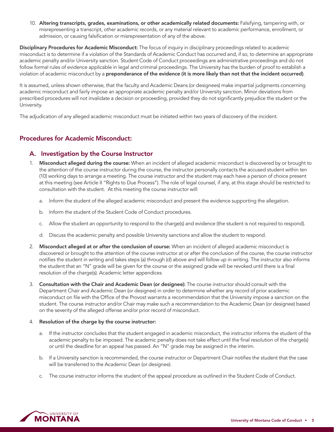<span id="page-6-0"></span>10. Altering transcripts, grades, examinations, or other academically related documents: Falsifying, tampering with, or misrepresenting a transcript, other academic records, or any material relevant to academic performance, enrollment, or admission, or causing falsification or misrepresentation of any of the above.

Disciplinary Procedures for Academic Misconduct: The focus of inquiry in disciplinary proceedings related to academic misconduct is to determine if a violation of the Standards of Academic Conduct has occurred and, if so, to determine an appropriate academic penalty and/or University sanction. Student Code of Conduct proceedings are administrative proceedings and do not follow formal rules of evidence applicable in legal and criminal proceedings. The University has the burden of proof to establish a violation of academic misconduct by a preponderance of the evidence (it is more likely than not that the incident occurred).

It is assumed, unless shown otherwise, that the faculty and Academic Deans (or designees) make impartial judgments concerning academic misconduct and fairly impose an appropriate academic penalty and/or University sanction. Minor deviations from prescribed procedures will not invalidate a decision or proceeding, provided they do not significantly prejudice the student or the University.

The adjudication of any alleged academic misconduct must be initiated within two years of discovery of the incident.

### Procedures for Academic Misconduct:

#### A. Investigation by the Course Instructor

- 1. Misconduct alleged during the course: When an incident of alleged academic misconduct is discovered by or brought to the attention of the course instructor during the course, the instructor personally contacts the accused student within ten (10) working days to arrange a meeting. The course instructor and the student may each have a person of choice present at this meeting (see Article II "Rights to Due Process"). The role of legal counsel, if any, at this stage should be restricted to consultation with the student. At this meeting the course instructor will:
	- a. Inform the student of the alleged academic misconduct and present the evidence supporting the allegation.
	- b. Inform the student of the Student Code of Conduct procedures.
	- c. Allow the student an opportunity to respond to the charge(s) and evidence (the student is not required to respond).
	- d. Discuss the academic penalty and possible University sanctions and allow the student to respond.
- 2. Misconduct alleged at or after the conclusion of course: When an incident of alleged academic misconduct is discovered or brought to the attention of the course instructor at or after the conclusion of the course, the course instructor notifies the student in writing and takes steps (a) through (d) above and will follow up in writing. The instructor also informs the student that an "N" grade will be given for the course or the assigned grade will be revoked until there is a final resolution of the charge(s). Academic letter appendices
- 3. Consultation with the Chair and Academic Dean (or designee): The course instructor should consult with the Department Chair and Academic Dean (or designee) in order to determine whether any record of prior academic misconduct on file with the Office of the Provost warrants a recommendation that the University impose a sanction on the student. The course instructor and/or Chair may make such a recommendation to the Academic Dean (or designee) based on the severity of the alleged offense and/or prior record of misconduct.

#### 4. Resolution of the charge by the course instructor:

- a. If the instructor concludes that the student engaged in academic misconduct, the instructor informs the student of the academic penalty to be imposed. The academic penalty does not take effect until the final resolution of the charge(s) or until the deadline for an appeal has passed. An "N" grade may be assigned in the interim.
- b. If a University sanction is recommended, the course instructor or Department Chair notifies the student that the case will be transferred to the Academic Dean (or designee).
- c. The course instructor informs the student of the appeal procedure as outlined in the Student Code of Conduct.

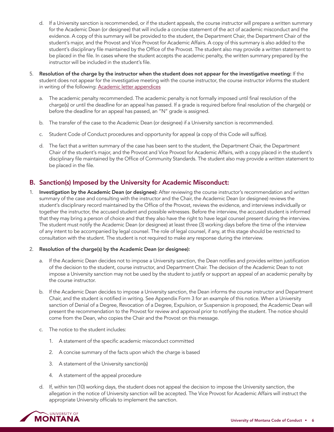- d. If a University sanction is recommended, or if the student appeals, the course instructor will prepare a written summary for the Academic Dean (or designee) that will include a concise statement of the act of academic misconduct and the evidence. A copy of this summary will be provided to the student, the Department Chair, the Department Chair of the student's major, and the Provost and Vice Provost for Academic Affairs. A copy of this summary is also added to the student's disciplinary file maintained by the Office of the Provost. The student also may provide a written statement to be placed in the file. In cases where the student accepts the academic penalty, the written summary prepared by the instructor will be included in the student's file.
- 5. Resolution of the charge by the instructor when the student does not appear for the investigative meeting: If the student does not appear for the investigative meeting with the course instructor, the course instructor informs the student in writing of the following: [Academic letter appendices](https://umt.box.com/s/fiiqzhsokdxu5azc4farxiu809at9km9)
	- a. The academic penalty recommended. The academic penalty is not formally imposed until final resolution of the charge(s) or until the deadline for an appeal has passed. If a grade is required before final resolution of the charge(s) or before the deadline for an appeal has passed, an "N" grade is assigned.
	- b. The transfer of the case to the Academic Dean (or designee) if a University sanction is recommended.
	- c. Student Code of Conduct procedures and opportunity for appeal (a copy of this Code will suffice).
	- d. The fact that a written summary of the case has been sent to the student, the Department Chair, the Department Chair of the student's major, and the Provost and Vice Provost for Academic Affairs, with a copy placed in the student's disciplinary file maintained by the Office of Community Standards. The student also may provide a written statement to be placed in the file.

# B. Sanction(s) Imposed by the University for Academic Misconduct:

Investigation by the Academic Dean (or designee): After reviewing the course instructor's recommendation and written summary of the case and consulting with the instructor and the Chair, the Academic Dean (or designee) reviews the student's disciplinary record maintained by the Office of the Provost, reviews the evidence, and interviews individually or together the instructor, the accused student and possible witnesses. Before the interview, the accused student is informed that they may bring a person of choice and that they also have the right to have legal counsel present during the interview. The student must notify the Academic Dean (or designee) at least three (3) working days before the time of the interview of any intent to be accompanied by legal counsel. The role of legal counsel, if any, at this stage should be restricted to consultation with the student. The student is not required to make any response during the interview.

#### 2. Resolution of the charge(s) by the Academic Dean (or designee):

- a. If the Academic Dean decides not to impose a University sanction, the Dean notifies and provides written justification of the decision to the student, course instructor, and Department Chair. The decision of the Academic Dean to not impose a University sanction may not be used by the student to justify or support an appeal of an academic penalty by the course instructor.
- b. If the Academic Dean decides to impose a University sanction, the Dean informs the course instructor and Department Chair, and the student is notified in writing. See Appendix Form 3 for an example of this notice. When a University sanction of Denial of a Degree, Revocation of a Degree, Expulsion, or Suspension is proposed, the Academic Dean will present the recommendation to the Provost for review and approval prior to notifying the student. The notice should come from the Dean, who copies the Chair and the Provost on this message.
- The notice to the student includes:
	- 1. A statement of the specific academic misconduct committed
	- 2. A concise summary of the facts upon which the charge is based
	- 3. A statement of the University sanction(s)
	- 4. A statement of the appeal procedure
- d. If, within ten (10) working days, the student does not appeal the decision to impose the University sanction, the allegation in the notice of University sanction will be accepted. The Vice Provost for Academic Affairs will instruct the appropriate University officials to implement the sanction.

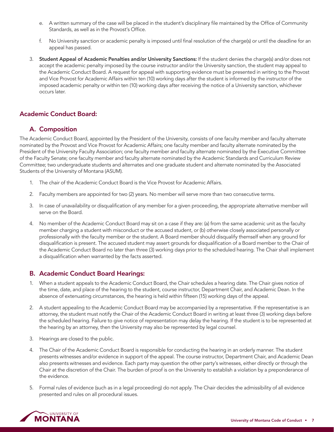- <span id="page-8-0"></span>e. A written summary of the case will be placed in the student's disciplinary file maintained by the Office of Community Standards, as well as in the Provost's Office.
- f. No University sanction or academic penalty is imposed until final resolution of the charge(s) or until the deadline for an appeal has passed.
- 3. Student Appeal of Academic Penalties and/or University Sanctions: If the student denies the charge(s) and/or does not accept the academic penalty imposed by the course instructor and/or the University sanction, the student may appeal to the Academic Conduct Board. A request for appeal with supporting evidence must be presented in writing to the Provost and Vice Provost for Academic Affairs within ten (10) working days after the student is informed by the instructor of the imposed academic penalty or within ten (10) working days after receiving the notice of a University sanction, whichever occurs later.

# Academic Conduct Board:

# A. Composition

The Academic Conduct Board, appointed by the President of the University, consists of one faculty member and faculty alternate nominated by the Provost and Vice Provost for Academic Affairs; one faculty member and faculty alternate nominated by the President of the University Faculty Association; one faculty member and faculty alternate nominated by the Executive Committee of the Faculty Senate; one faculty member and faculty alternate nominated by the Academic Standards and Curriculum Review Committee; two undergraduate students and alternates and one graduate student and alternate nominated by the Associated Students of the University of Montana (ASUM).

- 1. The chair of the Academic Conduct Board is the Vice Provost for Academic Affairs.
- 2. Faculty members are appointed for two (2) years. No member will serve more than two consecutive terms.
- 3. In case of unavailability or disqualification of any member for a given proceeding, the appropriate alternative member will serve on the Board.
- 4. No member of the Academic Conduct Board may sit on a case if they are: (a) from the same academic unit as the faculty member charging a student with misconduct or the accused student, or (b) otherwise closely associated personally or professionally with the faculty member or the student. A Board member should disqualify themself when any ground for disqualification is present. The accused student may assert grounds for disqualification of a Board member to the Chair of the Academic Conduct Board no later than three (3) working days prior to the scheduled hearing. The Chair shall implement a disqualification when warranted by the facts asserted.

#### B. Academic Conduct Board Hearings:

- 1. When a student appeals to the Academic Conduct Board, the Chair schedules a hearing date. The Chair gives notice of the time, date, and place of the hearing to the student, course instructor, Department Chair, and Academic Dean. In the absence of extenuating circumstances, the hearing is held within fifteen (15) working days of the appeal.
- 2. A student appealing to the Academic Conduct Board may be accompanied by a representative. If the representative is an attorney, the student must notify the Chair of the Academic Conduct Board in writing at least three (3) working days before the scheduled hearing. Failure to give notice of representation may delay the hearing. If the student is to be represented at the hearing by an attorney, then the University may also be represented by legal counsel.
- 3. Hearings are closed to the public.
- 4. The Chair of the Academic Conduct Board is responsible for conducting the hearing in an orderly manner. The student presents witnesses and/or evidence in support of the appeal. The course instructor, Department Chair, and Academic Dean also presents witnesses and evidence. Each party may question the other party's witnesses, either directly or through the Chair at the discretion of the Chair. The burden of proof is on the University to establish a violation by a preponderance of the evidence.
- 5. Formal rules of evidence (such as in a legal proceeding) do not apply. The Chair decides the admissibility of all evidence presented and rules on all procedural issues.

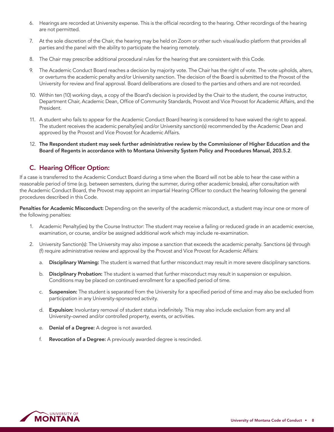- 6. Hearings are recorded at University expense. This is the official recording to the hearing. Other recordings of the hearing are not permitted.
- 7. At the sole discretion of the Chair, the hearing may be held on Zoom or other such visual/audio platform that provides all parties and the panel with the ability to participate the hearing remotely.
- 8. The Chair may prescribe additional procedural rules for the hearing that are consistent with this Code.
- 9. The Academic Conduct Board reaches a decision by majority vote. The Chair has the right of vote. The vote upholds, alters, or overturns the academic penalty and/or University sanction. The decision of the Board is submitted to the Provost of the University for review and final approval. Board deliberations are closed to the parties and others and are not recorded.
- 10. Within ten (10) working days, a copy of the Board's decision is provided by the Chair to the student, the course instructor, Department Chair, Academic Dean, Office of Community Standards, Provost and Vice Provost for Academic Affairs, and the President.
- 11. A student who fails to appear for the Academic Conduct Board hearing is considered to have waived the right to appeal. The student receives the academic penalty(ies) and/or University sanction(s) recommended by the Academic Dean and approved by the Provost and Vice Provost for Academic Affairs.
- 12. The Respondent student may seek further administrative review by the Commissioner of Higher Education and the Board of Regents in accordance with to Montana University System Policy and Procedures Manual, 203.5.2.

# C. Hearing Officer Option:

If a case is transferred to the Academic Conduct Board during a time when the Board will not be able to hear the case within a reasonable period of time (e.g. between semesters, during the summer, during other academic breaks), after consultation with the Academic Conduct Board, the Provost may appoint an impartial Hearing Officer to conduct the hearing following the general procedures described in this Code.

Penalties for Academic Misconduct: Depending on the severity of the academic misconduct, a student may incur one or more of the following penalties:

- 1. Academic Penalty(ies) by the Course Instructor: The student may receive a failing or reduced grade in an academic exercise, examination, or course, and/or be assigned additional work which may include re-examination.
- 2. University Sanction(s): The University may also impose a sanction that exceeds the academic penalty. Sanctions (a) through (f) require administrative review and approval by the Provost and Vice Provost for Academic Affairs:
	- a. Disciplinary Warning: The student is warned that further misconduct may result in more severe disciplinary sanctions.
	- b. Disciplinary Probation: The student is warned that further misconduct may result in suspension or expulsion. Conditions may be placed on continued enrollment for a specified period of time.
	- c. Suspension: The student is separated from the University for a specified period of time and may also be excluded from participation in any University-sponsored activity.
	- d. Expulsion: Involuntary removal of student status indefinitely. This may also include exclusion from any and all University-owned and/or controlled property, events, or activities.
	- e. Denial of a Degree: A degree is not awarded.
	- f. Revocation of a Degree: A previously awarded degree is rescinded.

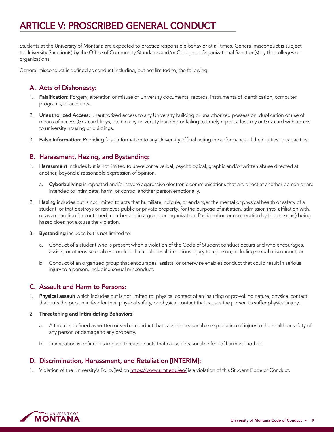# <span id="page-10-0"></span>ARTICLE V: PROSCRIBED GENERAL CONDUCT

Students at the University of Montana are expected to practice responsible behavior at all times. General misconduct is subject to University Sanction(s) by the Office of Community Standards and/or College or Organizational Sanction(s) by the colleges or organizations.

General misconduct is defined as conduct including, but not limited to, the following:

# A. Acts of Dishonesty:

- Falsification: Forgery, alteration or misuse of University documents, records, instruments of identification, computer programs, or accounts.
- 2. Unauthorized Access: Unauthorized access to any University building or unauthorized possession, duplication or use of means of access (Griz card, keys, etc.) to any university building or failing to timely report a lost key or Griz card with access to university housing or buildings.
- 3. False Information: Providing false information to any University official acting in performance of their duties or capacities.

# B. Harassment, Hazing, and Bystanding:

- 1. Harassment includes but is not limited to unwelcome verbal, psychological, graphic and/or written abuse directed at another, beyond a reasonable expression of opinion.
	- a. Cyberbullying is repeated and/or severe aggressive electronic communications that are direct at another person or are intended to intimidate, harm, or control another person emotionally.
- 2. Hazing includes but is not limited to acts that humiliate, ridicule, or endanger the mental or physical health or safety of a student, or that destroys or removes public or private property, for the purpose of initiation, admission into, affiliation with, or as a condition for continued membership in a group or organization. Participation or cooperation by the person(s) being hazed does not excuse the violation.
- 3. Bystanding includes but is not limited to:
	- a. Conduct of a student who is present when a violation of the Code of Student conduct occurs and who encourages, assists, or otherwise enables conduct that could result in serious injury to a person, including sexual misconduct; or:
	- b. Conduct of an organized group that encourages, assists, or otherwise enables conduct that could result in serious injury to a person, including sexual misconduct.

# C. Assault and Harm to Persons:

- 1. Physical assault which includes but is not limited to: physical contact of an insulting or provoking nature, physical contact that puts the person in fear for their physical safety, or physical contact that causes the person to suffer physical injury.
- 2. Threatening and Intimidating Behaviors:
	- a. A threat is defined as written or verbal conduct that causes a reasonable expectation of injury to the health or safety of any person or damage to any property.
	- b. Intimidation is defined as implied threats or acts that cause a reasonable fear of harm in another.

# D. Discrimination, Harassment, and Retaliation [INTERIM]:

1. Violation of the University's Policy(ies) on<https://www.umt.edu/eo/> is a violation of this Student Code of Conduct.

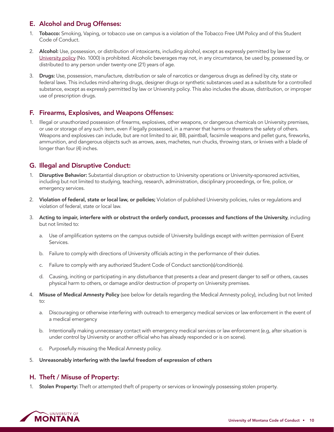# E. Alcohol and Drug Offenses:

- 1. Tobacco: Smoking, Vaping, or tobacco use on campus is a violation of the Tobacco Free UM Policy and of this Student Code of Conduct.
- 2. Alcohol: Use, possession, or distribution of intoxicants, including alcohol, except as expressly permitted by law or [University policy](https://www.umt.edu/policies/browse/facilities-security/alcohol) (No. 1000) is prohibited. Alcoholic beverages may not, in any circumstance, be used by, possessed by, or distributed to any person under twenty-one (21) years of age.
- 3. Drugs: Use, possession, manufacture, distribution or sale of narcotics or dangerous drugs as defined by city, state or federal laws. This includes mind-altering drugs, designer drugs or synthetic substances used as a substitute for a controlled substance, except as expressly permitted by law or University policy. This also includes the abuse, distribution, or improper use of prescription drugs.

# F. Firearms, Explosives, and Weapons Offenses:

1. Illegal or unauthorized possession of firearms, explosives, other weapons, or dangerous chemicals on University premises, or use or storage of any such item, even if legally possessed, in a manner that harms or threatens the safety of others. Weapons and explosives can include, but are not limited to air, BB, paintball, facsimile weapons and pellet guns, fireworks, ammunition, and dangerous objects such as arrows, axes, machetes, nun chucks, throwing stars, or knives with a blade of longer than four (4) inches.

# G. Illegal and Disruptive Conduct:

- 1. Disruptive Behavior: Substantial disruption or obstruction to University operations or University-sponsored activities, including but not limited to studying, teaching, research, administration, disciplinary proceedings, or fire, police, or emergency services.
- 2. Violation of federal, state or local law, or policies; Violation of published University policies, rules or regulations and violation of federal, state or local law.
- 3. Acting to impair, interfere with or obstruct the orderly conduct, processes and functions of the University, including but not limited to:
	- a. Use of amplification systems on the campus outside of University buildings except with written permission of Event Services.
	- b. Failure to comply with directions of University officials acting in the performance of their duties.
	- c. Failure to comply with any authorized Student Code of Conduct sanction(s)/condition(s).
	- d. Causing, inciting or participating in any disturbance that presents a clear and present danger to self or others, causes physical harm to others, or damage and/or destruction of property on University premises.
- 4. Misuse of Medical Amnesty Policy (see below for details regarding the Medical Amnesty policy), including but not limited to:
	- a. Discouraging or otherwise interfering with outreach to emergency medical services or law enforcement in the event of a medical emergency
	- b. Intentionally making unnecessary contact with emergency medical services or law enforcement (e.g, after situation is under control by University or another official who has already responded or is on scene).
	- c. Purposefully misusing the Medical Amnesty policy.
- 5. Unreasonably interfering with the lawful freedom of expression of others

# H. Theft / Misuse of Property:

1. Stolen Property: Theft or attempted theft of property or services or knowingly possessing stolen property.

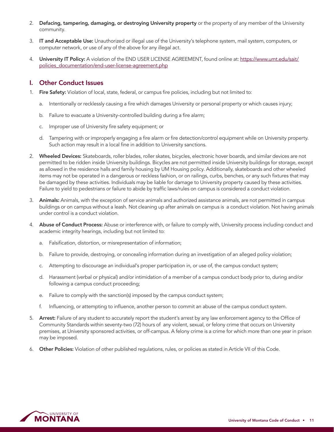- 2. Defacing, tampering, damaging, or destroying University property or the property of any member of the University community.
- 3. IT and Acceptable Use: Unauthorized or illegal use of the University's telephone system, mail system, computers, or computer network, or use of any of the above for any illegal act.
- 4. University IT Policy: A violation of the END USER LICENSE AGREEMENT, found online at: [https://www.umt.edu/sait/](https://www.umt.edu/sait/policies_documentation/end-user-license-agreement.php) [policies\\_documentation/end-user-license-agreement.php](https://www.umt.edu/sait/policies_documentation/end-user-license-agreement.php)

### I. Other Conduct Issues

- 1. Fire Safety: Violation of local, state, federal, or campus fire policies, including but not limited to:
	- a. Intentionally or recklessly causing a fire which damages University or personal property or which causes injury;
	- b. Failure to evacuate a University-controlled building during a fire alarm;
	- c. Improper use of University fire safety equipment; or
	- d. Tampering with or improperly engaging a fire alarm or fire detection/control equipment while on University property. Such action may result in a local fine in addition to University sanctions.
- 2. Wheeled Devices: Skateboards, roller blades, roller skates, bicycles, electronic hover boards, and similar devices are not permitted to be ridden inside University buildings. Bicycles are not permitted inside University buildings for storage, except as allowed in the residence halls and family housing by UM Housing policy. Additionally, skateboards and other wheeled items may not be operated in a dangerous or reckless fashion, or on railings, curbs, benches, or any such fixtures that may be damaged by these activities. Individuals may be liable for damage to University property caused by these activities. Failure to yield to pedestrians or failure to abide by traffic laws/rules on campus is considered a conduct violation.
- 3. Animals: Animals, with the exception of service animals and authorized assistance animals, are not permitted in campus buildings or on campus without a leash. Not cleaning up after animals on campus is a conduct violation. Not having animals under control is a conduct violation.
- 4. Abuse of Conduct Process: Abuse or interference with, or failure to comply with, University process including conduct and academic integrity hearings, including but not limited to:
	- a. Falsification, distortion, or misrepresentation of information;
	- b. Failure to provide, destroying, or concealing information during an investigation of an alleged policy violation;
	- c. Attempting to discourage an individual's proper participation in, or use of, the campus conduct system;
	- d. Harassment (verbal or physical) and/or intimidation of a member of a campus conduct body prior to, during and/or following a campus conduct proceeding;
	- e. Failure to comply with the sanction(s) imposed by the campus conduct system;
	- f. Influencing, or attempting to influence, another person to commit an abuse of the campus conduct system.
- 5. Arrest: Failure of any student to accurately report the student's arrest by any law enforcement agency to the Office of Community Standards within seventy-two (72) hours of any violent, sexual, or felony crime that occurs on University premises, at University sponsored activities, or off-campus. A felony crime is a crime for which more than one year in prison may be imposed.
- 6. Other Policies: Violation of other published regulations, rules, or policies as stated in Article VII of this Code.

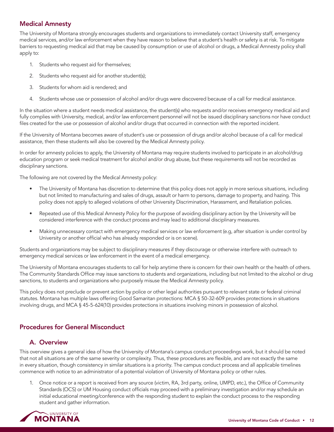# <span id="page-13-0"></span>Medical Amnesty

The University of Montana strongly encourages students and organizations to immediately contact University staff, emergency medical services, and/or law enforcement when they have reason to believe that a student's health or safety is at risk. To mitigate barriers to requesting medical aid that may be caused by consumption or use of alcohol or drugs, a Medical Amnesty policy shall apply to:

- 1. Students who request aid for themselves;
- 2. Students who request aid for another student(s);
- 3. Students for whom aid is rendered; and
- 4. Students whose use or possession of alcohol and/or drugs were discovered because of a call for medical assistance.

In the situation where a student needs medical assistance, the student(s) who requests and/or receives emergency medical aid and fully complies with University, medical, and/or law enforcement personnel will not be issued disciplinary sanctions nor have conduct files created for the use or possession of alcohol and/or drugs that occurred in connection with the reported incident.

If the University of Montana becomes aware of student's use or possession of drugs and/or alcohol because of a call for medical assistance, then these students will also be covered by the Medical Amnesty policy.

In order for amnesty policies to apply, the University of Montana may require students involved to participate in an alcohol/drug education program or seek medical treatment for alcohol and/or drug abuse, but these requirements will not be recorded as disciplinary sanctions.

The following are not covered by the Medical Amnesty policy:

- The University of Montana has discretion to determine that this policy does not apply in more serious situations, including but not limited to manufacturing and sales of drugs, assault or harm to persons, damage to property, and hazing. This policy does not apply to alleged violations of other University Discrimination, Harassment, and Retaliation policies.
- Repeated use of this Medical Amnesty Policy for the purpose of avoiding disciplinary action by the University will be considered interference with the conduct process and may lead to additional disciplinary measures.
- Making unnecessary contact with emergency medical services or law enforcement (e.g, after situation is under control by University or another official who has already responded or is on scene).

Students and organizations may be subject to disciplinary measures if they discourage or otherwise interfere with outreach to emergency medical services or law enforcement in the event of a medical emergency.

The University of Montana encourages students to call for help anytime there is concern for their own health or the health of others. The Community Standards Office may issue sanctions to students and organizations, including but not limited to the alcohol or drug sanctions, to students and organizations who purposely misuse the Medical Amnesty policy.

This policy does not preclude or prevent action by police or other legal authorities pursuant to relevant state or federal criminal statutes. Montana has multiple laws offering Good Samaritan protections: MCA § 50-32-609 provides protections in situations involving drugs, and MCA § 45-5-624(10) provides protections in situations involving minors in possession of alcohol.

# Procedures for General Misconduct

# A. Overview

This overview gives a general idea of how the University of Montana's campus conduct proceedings work, but it should be noted that not all situations are of the same severity or complexity. Thus, these procedures are flexible, and are not exactly the same in every situation, though consistency in similar situations is a priority. The campus conduct process and all applicable timelines commence with notice to an administrator of a potential violation of University of Montana policy or other rules.

1. Once notice or a report is received from any source (victim, RA, 3rd party, online, UMPD, etc.), the Office of Community Standards (OCS) or UM Housing conduct officials may proceed with a preliminary investigation and/or may schedule an initial educational meeting/conference with the responding student to explain the conduct process to the responding student and gather information.

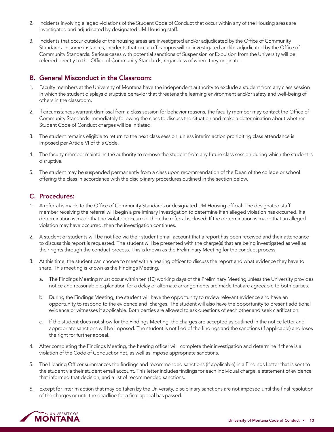- <span id="page-14-0"></span>2. Incidents involving alleged violations of the Student Code of Conduct that occur within any of the Housing areas are investigated and adjudicated by designated UM Housing staff.
- 3. Incidents that occur outside of the housing areas are investigated and/or adjudicated by the Office of Community Standards. In some instances, incidents that occur off campus will be investigated and/or adjudicated by the Office of Community Standards. Serious cases with potential sanctions of Suspension or Expulsion from the University will be referred directly to the Office of Community Standards, regardless of where they originate.

# B. General Misconduct in the Classroom:

- 1. Faculty members at the University of Montana have the independent authority to exclude a student from any class session in which the student displays disruptive behavior that threatens the learning environment and/or safety and well-being of others in the classroom.
- 2. If circumstances warrant dismissal from a class session for behavior reasons, the faculty member may contact the Office of Community Standards immediately following the class to discuss the situation and make a determination about whether Student Code of Conduct charges will be initiated.
- 3. The student remains eligible to return to the next class session, unless interim action prohibiting class attendance is imposed per Article VI of this Code.
- 4. The faculty member maintains the authority to remove the student from any future class session during which the student is disruptive.
- 5. The student may be suspended permanently from a class upon recommendation of the Dean of the college or school offering the class in accordance with the disciplinary procedures outlined in the section below.

# C. Procedures:

- 1. A referral is made to the Office of Community Standards or designated UM Housing official. The designated staff member receiving the referral will begin a preliminary investigation to determine if an alleged violation has occurred. If a determination is made that no violation occurred, then the referral is closed. If the determination is made that an alleged violation may have occurred, then the investigation continues.
- 2. A student or students will be notified via their student email account that a report has been received and their attendance to discuss this report is requested. The student will be presented with the charge(s) that are being investigated as well as their rights through the conduct process. This is known as the Preliminary Meeting for the conduct process.
- 3. At this time, the student can choose to meet with a hearing officer to discuss the report and what evidence they have to share. This meeting is known as the Findings Meeting.
	- a. The Findings Meeting must occur within ten (10) working days of the Preliminary Meeting unless the University provides notice and reasonable explanation for a delay or alternate arrangements are made that are agreeable to both parties.
	- b. During the Findings Meeting, the student will have the opportunity to review relevant evidence and have an opportunity to respond to the evidence and charges. The student will also have the opportunity to present additional evidence or witnesses if applicable. Both parties are allowed to ask questions of each other and seek clarification.
	- c. If the student does not show for the Findings Meeting, the charges are accepted as outlined in the notice letter and appropriate sanctions will be imposed. The student is notified of the findings and the sanctions (if applicable) and loses the right for further appeal.
- 4. After completing the Findings Meeting, the hearing officer will complete their investigation and determine if there is a violation of the Code of Conduct or not, as well as impose appropriate sanctions.
- 5. The Hearing Officer summarizes the findings and recommended sanctions (if applicable) in a Findings Letter that is sent to the student via their student email account. This letter includes findings for each individual charge, a statement of evidence that informed that decision, and a list of recommended sanctions.
- 6. Except for interim action that may be taken by the University, disciplinary sanctions are not imposed until the final resolution of the charges or until the deadline for a final appeal has passed.

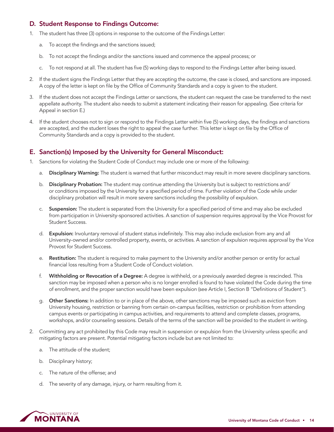# D. Student Response to Findings Outcome:

- 1. The student has three (3) options in response to the outcome of the Findings Letter:
	- a. To accept the findings and the sanctions issued;
	- b. To not accept the findings and/or the sanctions issued and commence the appeal process; or
	- c. To not respond at all. The student has five (5) working days to respond to the Findings Letter after being issued.
- 2. If the student signs the Findings Letter that they are accepting the outcome, the case is closed, and sanctions are imposed. A copy of the letter is kept on file by the Office of Community Standards and a copy is given to the student.
- 3. If the student does not accept the Findings Letter or sanctions, the student can request the case be transferred to the next appellate authority. The student also needs to submit a statement indicating their reason for appealing. (See criteria for Appeal in section E.)
- 4. If the student chooses not to sign or respond to the Findings Letter within five (5) working days, the findings and sanctions are accepted, and the student loses the right to appeal the case further. This letter is kept on file by the Office of Community Standards and a copy is provided to the student.

# E. Sanction(s) Imposed by the University for General Misconduct:

- 1. Sanctions for violating the Student Code of Conduct may include one or more of the following:
	- a. Disciplinary Warning: The student is warned that further misconduct may result in more severe disciplinary sanctions.
	- b. Disciplinary Probation: The student may continue attending the University but is subject to restrictions and/ or conditions imposed by the University for a specified period of time. Further violation of the Code while under disciplinary probation will result in more severe sanctions including the possibility of expulsion.
	- c. Suspension: The student is separated from the University for a specified period of time and may also be excluded from participation in University-sponsored activities. A sanction of suspension requires approval by the Vice Provost for Student Success.
	- d. Expulsion: Involuntary removal of student status indefinitely. This may also include exclusion from any and all University-owned and/or controlled property, events, or activities. A sanction of expulsion requires approval by the Vice Provost for Student Success.
	- e. Restitution: The student is required to make payment to the University and/or another person or entity for actual financial loss resulting from a Student Code of Conduct violation.
	- f. Withholding or Revocation of a Degree: A degree is withheld, or a previously awarded degree is rescinded. This sanction may be imposed when a person who is no longer enrolled is found to have violated the Code during the time of enrollment, and the proper sanction would have been expulsion (see Article I, Section B "Definitions of Student").
	- g. Other Sanctions: In addition to or in place of the above, other sanctions may be imposed such as eviction from University housing, restriction or banning from certain on-campus facilities, restriction or prohibition from attending campus events or participating in campus activities, and requirements to attend and complete classes, programs, workshops, and/or counseling sessions. Details of the terms of the sanction will be provided to the student in writing.
- 2. Committing any act prohibited by this Code may result in suspension or expulsion from the University unless specific and mitigating factors are present. Potential mitigating factors include but are not limited to:
	- a. The attitude of the student;
	- b. Disciplinary history;
	- c. The nature of the offense; and
	- d. The severity of any damage, injury, or harm resulting from it.

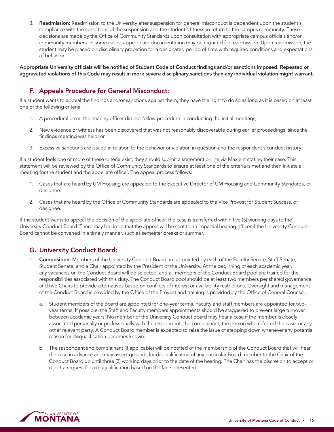3. Readmission: Readmission to the University after suspension for general misconduct is dependent upon the student's compliance with the conditions of the suspension and the student's fitness to return to the campus community. These decisions are made by the Office of Community Standards upon consultation with appropriate campus officials and/or community members. In some cases, appropriate documentation may be required for readmission. Upon readmission, the student may be placed on disciplinary probation for a designated period of time with required conditions and expectations of behavior.

Appropriate University officials will be notified of Student Code of Conduct findings and/or sanctions imposed. Repeated or aggravated violations of this Code may result in more severe disciplinary sanctions than any individual violation might warrant.

# F. Appeals Procedure for General Misconduct:

If a student wants to appeal the findings and/or sanctions against them, they have the right to do so as long as it is based on at least one of the following criteria:

- 1. A procedural error; the hearing officer did not follow procedure in conducting the initial meetings;
- 2. New evidence or witness has been discovered that was not reasonably discoverable during earlier proceedings, since the findings meeting was held; or
- 3. Excessive sanctions are issued in relation to the behavior or violation in question and the respondent's conduct history.

If a student feels one or more of these criteria exist, they should submit a statement online via Maxient stating their case. This statement will be reviewed by the Office of Community Standards to ensure at least one of the criteria is met and then initiate a meeting for the student and the appellate officer. The appeal process follows:

- 1. Cases that are heard by UM Housing are appealed to the Executive Director of UM Housing and Community Standards, or designee.
- 2. Cases that are heard by the Office of Community Standards are appealed to the Vice Provost for Student Success, or designee.

If the student wants to appeal the decision of the appellate officer, the case is transferred within five (5) working days to the University Conduct Board. There may be times that the appeal will be sent to an impartial hearing officer if the University Conduct Board cannot be convened in a timely manner, such as semester breaks or summer.

# G. University Conduct Board:

- 1. Composition: Members of the University Conduct Board are appointed by each of the Faculty Senate, Staff Senate, Student Senate, and a Chair appointed by the President of the University. At the beginning of each academic year, any vacancies on the Conduct Board will be selected, and all members of the Conduct Board pool are trained for the responsibilities associated with this duty. The Conduct Board pool should be at least two members per shared governance and two Chairs to provide alternatives based on conflicts of interest or availability restrictions. Oversight and management of the Conduct Board is provided by the Office of the Provost and training is provided by the Office of General Counsel.
	- a. Student members of the Board are appointed for one-year terms. Faculty and staff members are appointed for twoyear terms. If possible, the Staff and Faculty members appointments should be staggered to prevent large turnover between academic years. No member of the University Conduct Board may hear a case if the member is closely associated personally or professionally with the respondent, the complainant, the person who referred the case, or any other relevant party. A Conduct Board member is expected to raise the issue of stepping down whenever any potential reason for disqualification becomes known.
	- b. The respondent and complainant (if applicable) will be notified of the membership of the Conduct Board that will hear the case in advance and may assert grounds for disqualification of any particular Board member to the Chair of the Conduct Board up until three (3) working days prior to the date of the hearing. The Chair has the discretion to accept or reject a request for a disqualification based on the facts presented.

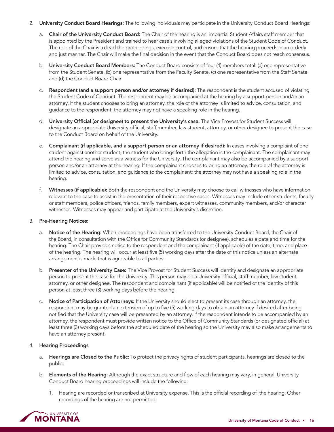- 2. University Conduct Board Hearings: The following individuals may participate in the University Conduct Board Hearings:
	- a. Chair of the University Conduct Board: The Chair of the hearing is an impartial Student Affairs staff member that is appointed by the President and trained to hear case's involving alleged violations of the Student Code of Conduct. The role of the Chair is to lead the proceedings, exercise control, and ensure that the hearing proceeds in an orderly and just manner. The Chair will make the final decision in the event that the Conduct Board does not reach consensus.
	- b. University Conduct Board Members: The Conduct Board consists of four (4) members total: (a) one representative from the Student Senate, (b) one representative from the Faculty Senate, (c) one representative from the Staff Senate and (d) the Conduct Board Chair.
	- c. Respondent (and a support person and/or attorney if desired): The respondent is the student accused of violating the Student Code of Conduct. The respondent may be accompanied at the hearing by a support person and/or an attorney. If the student chooses to bring an attorney, the role of the attorney is limited to advice, consultation, and guidance to the respondent; the attorney may not have a speaking role in the hearing.
	- d. University Official (or designee) to present the University's case: The Vice Provost for Student Success will designate an appropriate University official, staff member, law student, attorney, or other designee to present the case to the Conduct Board on behalf of the University.
	- e. Complainant (if applicable, and a support person or an attorney if desired): In cases involving a complaint of one student against another student, the student who brings forth the allegation is the complainant. The complainant may attend the hearing and serve as a witness for the University. The complainant may also be accompanied by a support person and/or an attorney at the hearing. If the complainant chooses to bring an attorney, the role of the attorney is limited to advice, consultation, and guidance to the complainant; the attorney may not have a speaking role in the hearing.
	- f. Witnesses (if applicable): Both the respondent and the University may choose to call witnesses who have information relevant to the case to assist in the presentation of their respective cases. Witnesses may include other students, faculty or staff members, police officers, friends, family members, expert witnesses, community members, and/or character witnesses. Witnesses may appear and participate at the University's discretion.

#### 3. Pre-Hearing Notices:

- a. Notice of the Hearing: When proceedings have been transferred to the University Conduct Board, the Chair of the Board, in consultation with the Office for Community Standards (or designee), schedules a date and time for the hearing. The Chair provides notice to the respondent and the complainant (if applicable) of the date, time, and place of the hearing. The hearing will occur at least five (5) working days after the date of this notice unless an alternate arrangement is made that is agreeable to all parties.
- b. Presenter of the University Case: The Vice Provost for Student Success will identify and designate an appropriate person to present the case for the University. This person may be a University official, staff member, law student, attorney, or other designee. The respondent and complainant (if applicable) will be notified of the identity of this person at least three (3) working days before the hearing.
- c. Notice of Participation of Attorneys: If the University should elect to present its case through an attorney, the respondent may be granted an extension of up to five (5) working days to obtain an attorney if desired after being notified that the University case will be presented by an attorney. If the respondent intends to be accompanied by an attorney, the respondent must provide written notice to the Office of Community Standards (or designated official) at least three (3) working days before the scheduled date of the hearing so the University may also make arrangements to have an attorney present.

#### 4. Hearing Proceedings

- a. Hearings are Closed to the Public: To protect the privacy rights of student participants, hearings are closed to the public.
- b. Elements of the Hearing: Although the exact structure and flow of each hearing may vary, in general, University Conduct Board hearing proceedings will include the following:
	- 1. Hearing are recorded or transcribed at University expense. This is the official recording of the hearing. Other recordings of the hearing are not permitted.

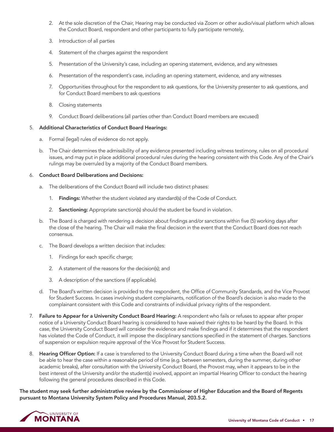- 2. At the sole discretion of the Chair, Hearing may be conducted via Zoom or other audio/visual platform which allows the Conduct Board, respondent and other participants to fully participate remotely,
- 3. Introduction of all parties
- 4. Statement of the charges against the respondent
- 5. Presentation of the University's case, including an opening statement, evidence, and any witnesses
- 6. Presentation of the respondent's case, including an opening statement, evidence, and any witnesses
- 7. Opportunities throughout for the respondent to ask questions, for the University presenter to ask questions, and for Conduct Board members to ask questions
- 8. Closing statements
- 9. Conduct Board deliberations (all parties other than Conduct Board members are excused)

#### 5. Additional Characteristics of Conduct Board Hearings:

- a. Formal (legal) rules of evidence do not apply.
- b. The Chair determines the admissibility of any evidence presented including witness testimony, rules on all procedural issues, and may put in place additional procedural rules during the hearing consistent with this Code. Any of the Chair's rulings may be overruled by a majority of the Conduct Board members.

#### 6. Conduct Board Deliberations and Decisions:

- a. The deliberations of the Conduct Board will include two distinct phases:
	- 1. Findings: Whether the student violated any standard(s) of the Code of Conduct.
	- 2. Sanctioning: Appropriate sanction(s) should the student be found in violation.
- b. The Board is charged with rendering a decision about findings and/or sanctions within five (5) working days after the close of the hearing. The Chair will make the final decision in the event that the Conduct Board does not reach consensus.
- c. The Board develops a written decision that includes:
	- 1. Findings for each specific charge;
	- 2. A statement of the reasons for the decision(s); and
	- 3. A description of the sanctions (if applicable).
- d. The Board's written decision is provided to the respondent, the Office of Community Standards, and the Vice Provost for Student Success. In cases involving student complainants, notification of the Board's decision is also made to the complainant consistent with this Code and constraints of individual privacy rights of the respondent.
- 7. Failure to Appear for a University Conduct Board Hearing: A respondent who fails or refuses to appear after proper notice of a University Conduct Board hearing is considered to have waived their rights to be heard by the Board. In this case, the University Conduct Board will consider the evidence and make findings and if it determines that the respondent has violated the Code of Conduct, it will impose the disciplinary sanctions specified in the statement of charges. Sanctions of suspension or expulsion require approval of the Vice Provost for Student Success.
- 8. Hearing Officer Option: If a case is transferred to the University Conduct Board during a time when the Board will not be able to hear the case within a reasonable period of time (e.g. between semesters, during the summer, during other academic breaks), after consultation with the University Conduct Board, the Provost may, when it appears to be in the best interest of the University and/or the student(s) involved, appoint an impartial Hearing Officer to conduct the hearing following the general procedures described in this Code.

The student may seek further administrative review by the Commissioner of Higher Education and the Board of Regents pursuant to Montana University System Policy and Procedures Manual, 203.5.2.

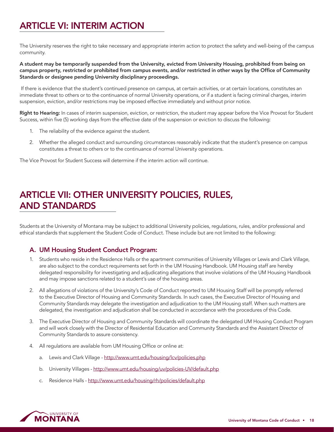# <span id="page-19-0"></span>ARTICLE VI: INTERIM ACTION

The University reserves the right to take necessary and appropriate interim action to protect the safety and well-being of the campus community.

A student may be temporarily suspended from the University, evicted from University Housing, prohibited from being on campus property, restricted or prohibited from campus events, and/or restricted in other ways by the Office of Community Standards or designee pending University disciplinary proceedings.

 If there is evidence that the student's continued presence on campus, at certain activities, or at certain locations, constitutes an immediate threat to others or to the continuance of normal University operations, or if a student is facing criminal charges, interim suspension, eviction, and/or restrictions may be imposed effective immediately and without prior notice.

Right to Hearing: In cases of interim suspension, eviction, or restriction, the student may appear before the Vice Provost for Student Success, within five (5) working days from the effective date of the suspension or eviction to discuss the following:

- 1. The reliability of the evidence against the student.
- 2. Whether the alleged conduct and surrounding circumstances reasonably indicate that the student's presence on campus constitutes a threat to others or to the continuance of normal University operations.

The Vice Provost for Student Success will determine if the interim action will continue.

# ARTICLE VII: OTHER UNIVERSITY POLICIES, RULES, AND STANDARDS

Students at the University of Montana may be subject to additional University policies, regulations, rules, and/or professional and ethical standards that supplement the Student Code of Conduct. These include but are not limited to the following:

# A. UM Housing Student Conduct Program:

- 1. Students who reside in the Residence Halls or the apartment communities of University Villages or Lewis and Clark Village, are also subject to the conduct requirements set forth in the UM Housing Handbook. UM Housing staff are hereby delegated responsibility for investigating and adjudicating allegations that involve violations of the UM Housing Handbook and may impose sanctions related to a student's use of the housing areas.
- 2. All allegations of violations of the University's Code of Conduct reported to UM Housing Staff will be promptly referred to the Executive Director of Housing and Community Standards. In such cases, the Executive Director of Housing and Community Standards may delegate the investigation and adjudication to the UM Housing staff. When such matters are delegated, the investigation and adjudication shall be conducted in accordance with the procedures of this Code.
- 3. The Executive Director of Housing and Community Standards will coordinate the delegated UM Housing Conduct Program and will work closely with the Director of Residential Education and Community Standards and the Assistant Director of Community Standards to assure consistency.
- 4. All regulations are available from UM Housing Office or online at:
	- a. Lewis and Clark Village -<http://www.umt.edu/housing/lcv/policies.php>
	- b. University Villages -<http://www.umt.edu/housing/uv/policies-UV/default.php>
	- c. Residence Halls -<http://www.umt.edu/housing/rh/policies/default.php>

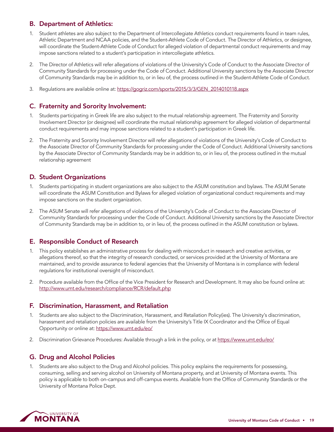# B. Department of Athletics:

- 1. Student athletes are also subject to the Department of Intercollegiate Athletics conduct requirements found in team rules, Athletic Department and NCAA policies, and the Student-Athlete Code of Conduct. The Director of Athletics, or designee, will coordinate the Student-Athlete Code of Conduct for alleged violation of departmental conduct requirements and may impose sanctions related to a student's participation in intercollegiate athletics.
- 2. The Director of Athletics will refer allegations of violations of the University's Code of Conduct to the Associate Director of Community Standards for processing under the Code of Conduct. Additional University sanctions by the Associate Director of Community Standards may be in addition to, or in lieu of, the process outlined in the Student-Athlete Code of Conduct.
- 3. Regulations are available online at: [https://gogriz.com/sports/2015/3/3/GEN\\_2014010118.aspx](https://gogriz.com/sports/2015/3/3/GEN_2014010118.aspx)

# C. Fraternity and Sorority Involvement:

- 1. Students participating in Greek life are also subject to the mutual relationship agreement. The Fraternity and Sorority Involvement Director (or designee) will coordinate the mutual relationship agreement for alleged violation of departmental conduct requirements and may impose sanctions related to a student's participation in Greek life.
- 2. The Fraternity and Sorority Involvement Director will refer allegations of violations of the University's Code of Conduct to the Associate Director of Community Standards for processing under the Code of Conduct. Additional University sanctions by the Associate Director of Community Standards may be in addition to, or in lieu of, the process outlined in the mutual relationship agreement

# D. Student Organizations

- 1. Students participating in student organizations are also subject to the ASUM constitution and bylaws. The ASUM Senate will coordinate the ASUM Constitution and Bylaws for alleged violation of organizational conduct requirements and may impose sanctions on the student organization.
- 2. The ASUM Senate will refer allegations of violations of the University's Code of Conduct to the Associate Director of Community Standards for processing under the Code of Conduct. Additional University sanctions by the Associate Director of Community Standards may be in addition to, or in lieu of, the process outlined in the ASUM constitution or bylaws.

# E. Responsible Conduct of Research

- 1. This policy establishes an administrative process for dealing with misconduct in research and creative activities, or allegations thereof, so that the integrity of research conducted, or services provided at the University of Montana are maintained, and to provide assurance to federal agencies that the University of Montana is in compliance with federal regulations for institutional oversight of misconduct.
- 2. Procedure available from the Office of the Vice President for Research and Development. It may also be found online at: <http://www.umt.edu/research/compliance/RCR/default.php>

# F. Discrimination, Harassment, and Retaliation

- 1. Students are also subject to the Discrimination, Harassment, and Retaliation Policy(ies). The University's discrimination, harassment and retaliation policies are available from the University's Title IX Coordinator and the Office of Equal Opportunity or online at:<https://www.umt.edu/eo/>
- 2. Discrimination Grievance Procedures: Available through a link in the policy, or at https://www.umt.edu/eo/

# G. Drug and Alcohol Policies

1. Students are also subject to the Drug and Alcohol policies. This policy explains the requirements for possessing, consuming, selling and serving alcohol on University of Montana property, and at University of Montana events. This policy is applicable to both on-campus and off-campus events. Available from the Office of Community Standards or the University of Montana Police Dept.